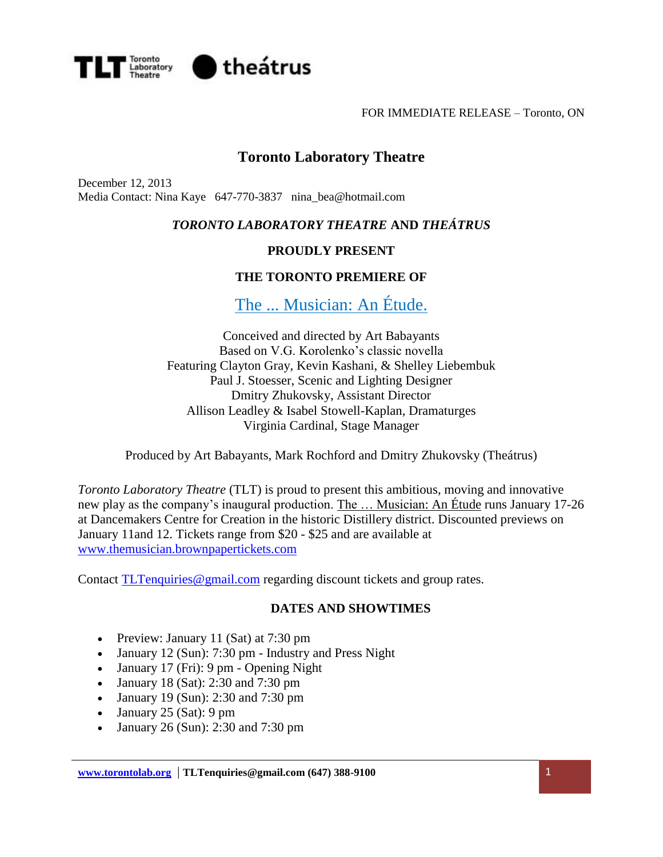

FOR IMMEDIATE RELEASE – Toronto, ON

# **Toronto Laboratory Theatre**

December 12, 2013 Media Contact: Nina Kaye 647-770-3837 nina\_bea@hotmail.com

## *TORONTO LABORATORY THEATRE* **AND** *THEÁTRUS*

## **PROUDLY PRESENT**

## **THE TORONTO PREMIERE OF**

The ... Musician: An Étude.

Conceived and directed by Art Babayants Based on V.G. Korolenko's classic novella Featuring Clayton Gray, Kevin Kashani, & Shelley Liebembuk Paul J. Stoesser, Scenic and Lighting Designer Dmitry Zhukovsky, Assistant Director Allison Leadley & Isabel Stowell-Kaplan, Dramaturges Virginia Cardinal, Stage Manager

Produced by Art Babayants, Mark Rochford and Dmitry Zhukovsky (Theátrus)

*Toronto Laboratory Theatre* (TLT) is proud to present this ambitious, moving and innovative new play as the company's inaugural production. The ... Musician: An Étude runs January 17-26 at Dancemakers Centre for Creation in the historic Distillery district. Discounted previews on January 11and 12. Tickets range from \$20 - \$25 and are available at [www.themusician.brownpapertickets.com](file:///C:/AppData/Local/Microsoft/Windows/Downloads/www.themusician.brownpapertickets.com)

Contact [TLTenquiries@gmail.com](mailto:TLTenquiries@gmail.com) regarding discount tickets and group rates.

#### **DATES AND SHOWTIMES**

- Preview: January 11 (Sat) at 7:30 pm
- January 12 (Sun): 7:30 pm Industry and Press Night
- January 17 (Fri): 9 pm Opening Night
- January 18 (Sat): 2:30 and 7:30 pm
- January 19 (Sun): 2:30 and 7:30 pm
- January  $25$  (Sat): 9 pm
- January 26 (Sun): 2:30 and 7:30 pm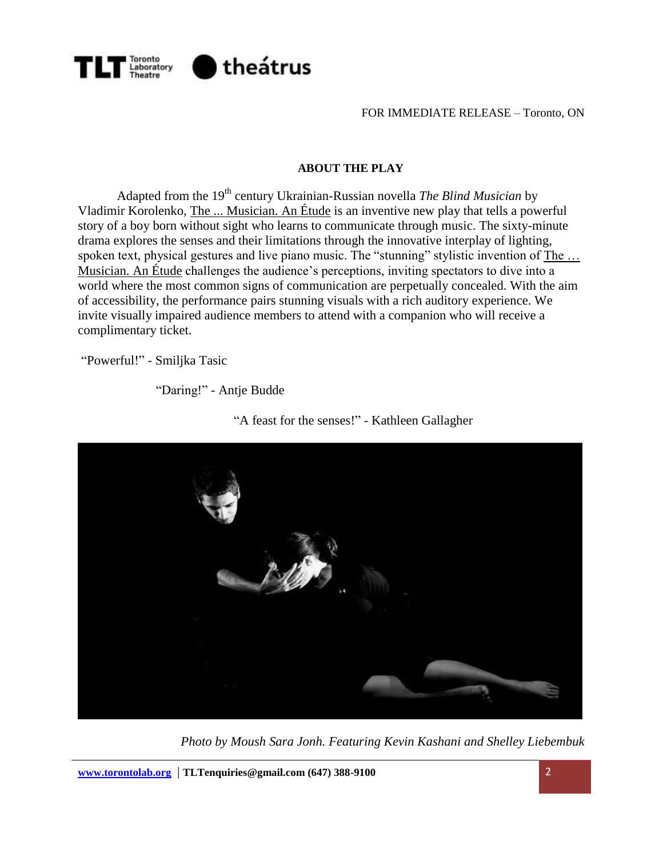

FOR IMMEDIATE RELEASE – Toronto, ON

#### **ABOUT THE PLAY**

Adapted from the 19<sup>th</sup> century Ukrainian-Russian novella *The Blind Musician* by Vladimir Korolenko, The ... Musician. An Étude is an inventive new play that tells a powerful story of a boy born without sight who learns to communicate through music. The sixty-minute drama explores the senses and their limitations through the innovative interplay of lighting, spoken text, physical gestures and live piano music. The "stunning" stylistic invention of The ... Musician. An Étude challenges the audience's perceptions, inviting spectators to dive into a world where the most common signs of communication are perpetually concealed. With the aim of accessibility, the performance pairs stunning visuals with a rich auditory experience. We invite visually impaired audience members to attend with a companion who will receive a complimentary ticket.

"Powerful!" - Smiljka Tasic

"Daring!" - Antje Budde



"A feast for the senses!" - Kathleen Gallagher

*Photo by Moush Sara Jonh. Featuring Kevin Kashani and Shelley Liebembuk*

**[www.torontolab.org](http://www.torontolab.org/)** | **TLTenquiries@gmail.com (647) 388-9100** 2